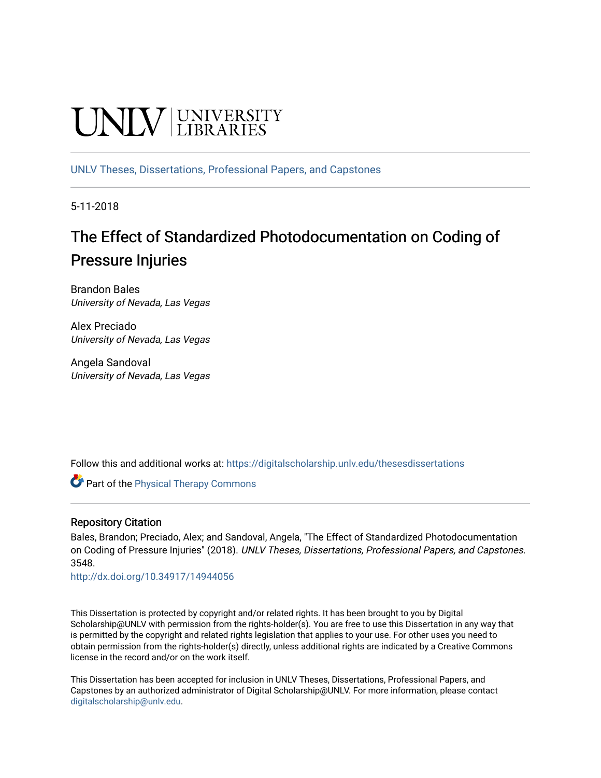# **UNIVERSITY**

[UNLV Theses, Dissertations, Professional Papers, and Capstones](https://digitalscholarship.unlv.edu/thesesdissertations)

5-11-2018

# The Effect of Standardized Photodocumentation on Coding of Pressure Injuries

Brandon Bales University of Nevada, Las Vegas

Alex Preciado University of Nevada, Las Vegas

Angela Sandoval University of Nevada, Las Vegas

Follow this and additional works at: [https://digitalscholarship.unlv.edu/thesesdissertations](https://digitalscholarship.unlv.edu/thesesdissertations?utm_source=digitalscholarship.unlv.edu%2Fthesesdissertations%2F3548&utm_medium=PDF&utm_campaign=PDFCoverPages)

**Part of the [Physical Therapy Commons](http://network.bepress.com/hgg/discipline/754?utm_source=digitalscholarship.unlv.edu%2Fthesesdissertations%2F3548&utm_medium=PDF&utm_campaign=PDFCoverPages)** 

### Repository Citation

Bales, Brandon; Preciado, Alex; and Sandoval, Angela, "The Effect of Standardized Photodocumentation on Coding of Pressure Injuries" (2018). UNLV Theses, Dissertations, Professional Papers, and Capstones. 3548.

<http://dx.doi.org/10.34917/14944056>

This Dissertation is protected by copyright and/or related rights. It has been brought to you by Digital Scholarship@UNLV with permission from the rights-holder(s). You are free to use this Dissertation in any way that is permitted by the copyright and related rights legislation that applies to your use. For other uses you need to obtain permission from the rights-holder(s) directly, unless additional rights are indicated by a Creative Commons license in the record and/or on the work itself.

This Dissertation has been accepted for inclusion in UNLV Theses, Dissertations, Professional Papers, and Capstones by an authorized administrator of Digital Scholarship@UNLV. For more information, please contact [digitalscholarship@unlv.edu](mailto:digitalscholarship@unlv.edu).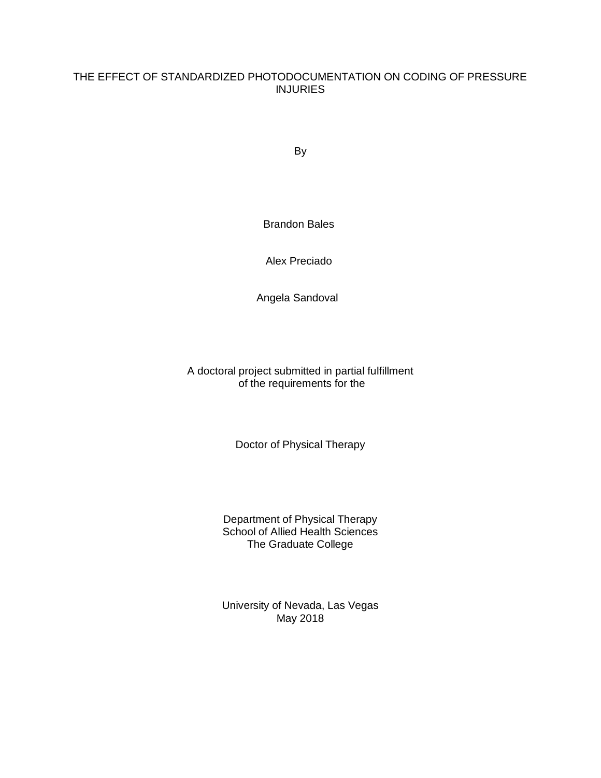## THE EFFECT OF STANDARDIZED PHOTODOCUMENTATION ON CODING OF PRESSURE INJURIES

By

Brandon Bales

Alex Preciado

Angela Sandoval

A doctoral project submitted in partial fulfillment of the requirements for the

Doctor of Physical Therapy

Department of Physical Therapy School of Allied Health Sciences The Graduate College

University of Nevada, Las Vegas May 2018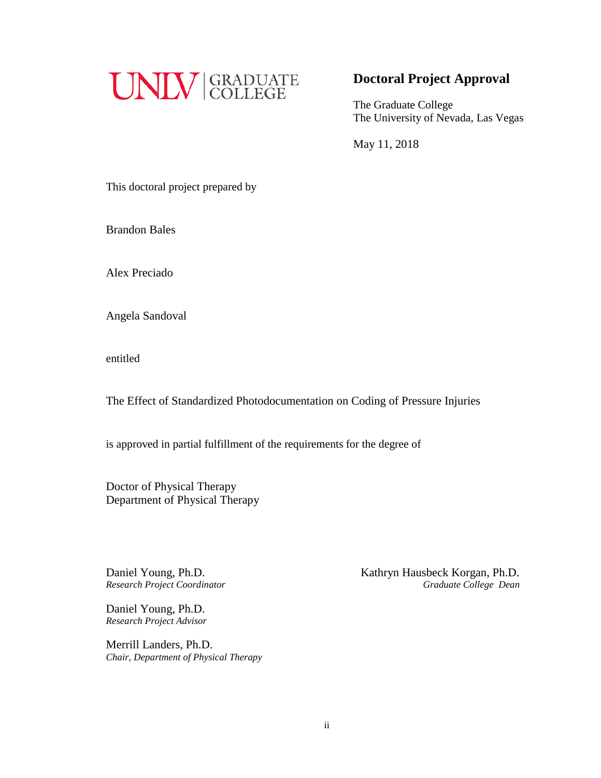

## **Doctoral Project Approval**

The Graduate College The University of Nevada, Las Vegas

May 11, 2018

This doctoral project prepared by

Brandon Bales

Alex Preciado

Angela Sandoval

entitled

The Effect of Standardized Photodocumentation on Coding of Pressure Injuries

is approved in partial fulfillment of the requirements for the degree of

Doctor of Physical Therapy Department of Physical Therapy

 $R$ *esearch Project Coordinator* 

Daniel Young, Ph.D. *Research Project Advisor*

Merrill Landers, Ph.D. *Chair, Department of Physical Therapy*

Daniel Young, Ph.D.<br> *Research Project Coordinator*<br> *Research Project Coordinator*<br> *Craduate College Dean*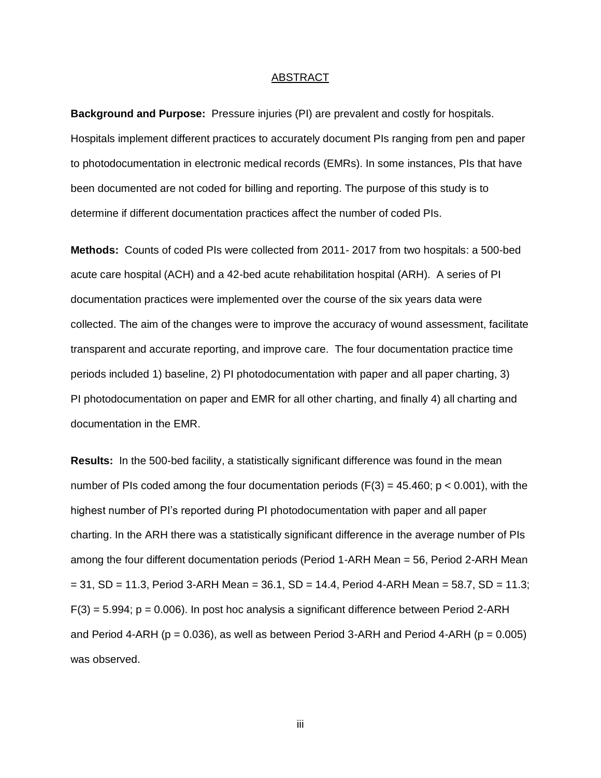#### ABSTRACT

**Background and Purpose:** Pressure injuries (PI) are prevalent and costly for hospitals. Hospitals implement different practices to accurately document PIs ranging from pen and paper to photodocumentation in electronic medical records (EMRs). In some instances, PIs that have been documented are not coded for billing and reporting. The purpose of this study is to determine if different documentation practices affect the number of coded PIs.

**Methods:** Counts of coded PIs were collected from 2011- 2017 from two hospitals: a 500-bed acute care hospital (ACH) and a 42-bed acute rehabilitation hospital (ARH). A series of PI documentation practices were implemented over the course of the six years data were collected. The aim of the changes were to improve the accuracy of wound assessment, facilitate transparent and accurate reporting, and improve care. The four documentation practice time periods included 1) baseline, 2) PI photodocumentation with paper and all paper charting, 3) PI photodocumentation on paper and EMR for all other charting, and finally 4) all charting and documentation in the EMR.

**Results:** In the 500-bed facility, a statistically significant difference was found in the mean number of PIs coded among the four documentation periods ( $F(3) = 45.460$ ;  $p < 0.001$ ), with the highest number of PI's reported during PI photodocumentation with paper and all paper charting. In the ARH there was a statistically significant difference in the average number of PIs among the four different documentation periods (Period 1-ARH Mean = 56, Period 2-ARH Mean  $= 31$ , SD = 11.3, Period 3-ARH Mean = 36.1, SD = 14.4, Period 4-ARH Mean = 58.7, SD = 11.3;  $F(3) = 5.994$ ;  $p = 0.006$ ). In post hoc analysis a significant difference between Period 2-ARH and Period 4-ARH ( $p = 0.036$ ), as well as between Period 3-ARH and Period 4-ARH ( $p = 0.005$ ) was observed.

iii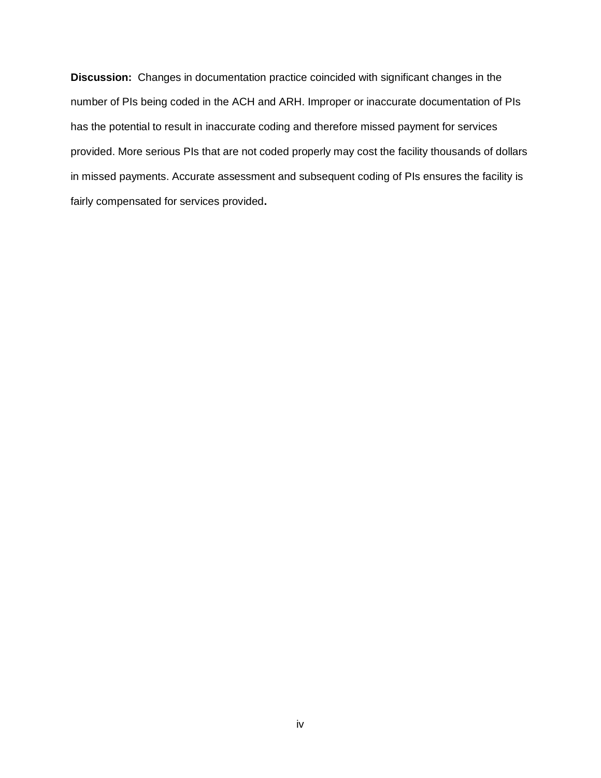**Discussion:** Changes in documentation practice coincided with significant changes in the number of PIs being coded in the ACH and ARH. Improper or inaccurate documentation of PIs has the potential to result in inaccurate coding and therefore missed payment for services provided. More serious PIs that are not coded properly may cost the facility thousands of dollars in missed payments. Accurate assessment and subsequent coding of PIs ensures the facility is fairly compensated for services provided**.**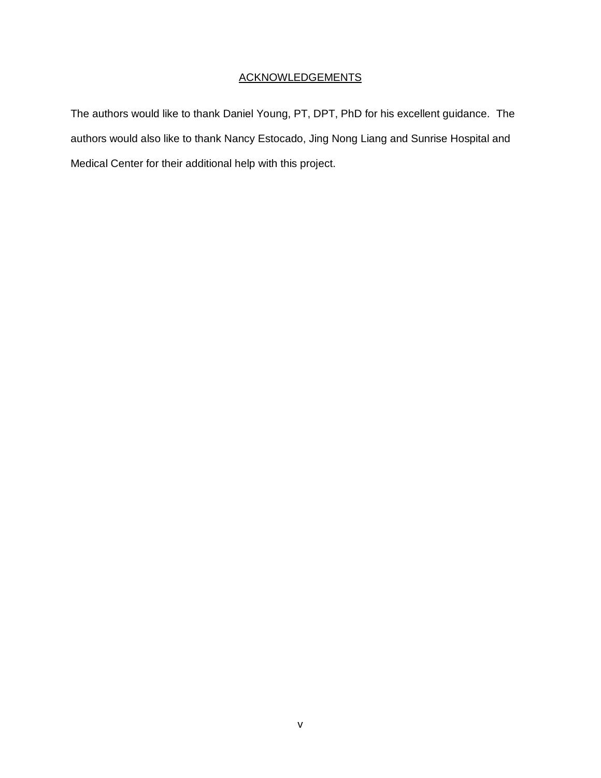## **ACKNOWLEDGEMENTS**

The authors would like to thank Daniel Young, PT, DPT, PhD for his excellent guidance. The authors would also like to thank Nancy Estocado, Jing Nong Liang and Sunrise Hospital and Medical Center for their additional help with this project.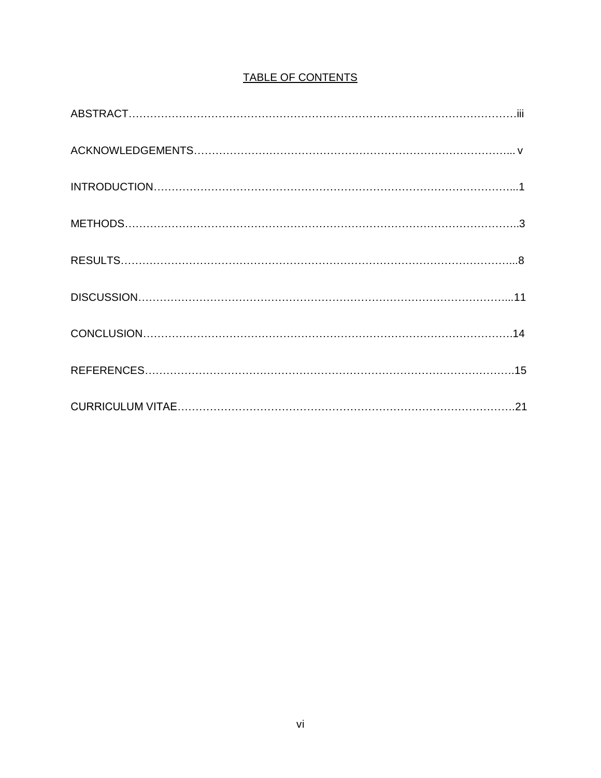| TABLE OF CONTENTS |
|-------------------|
|-------------------|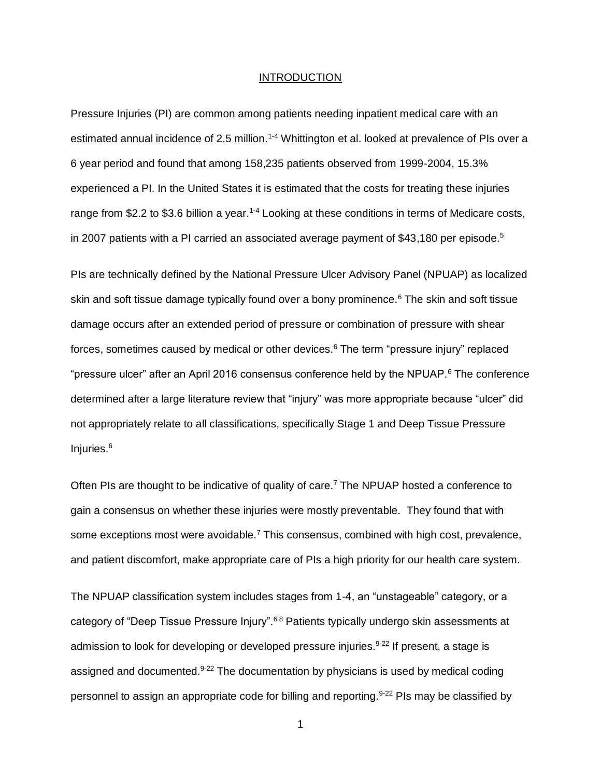#### **INTRODUCTION**

Pressure Injuries (PI) are common among patients needing inpatient medical care with an estimated annual incidence of 2.5 million.<sup>1-4</sup> Whittington et al. looked at prevalence of PIs over a 6 year period and found that among 158,235 patients observed from 1999-2004, 15.3% experienced a PI. In the United States it is estimated that the costs for treating these injuries range from \$2.2 to \$3.6 billion a year.<sup>1-4</sup> Looking at these conditions in terms of Medicare costs. in 2007 patients with a PI carried an associated average payment of \$43,180 per episode.<sup>5</sup>

PIs are technically defined by the National Pressure Ulcer Advisory Panel (NPUAP) as localized skin and soft tissue damage typically found over a bony prominence.<sup>6</sup> The skin and soft tissue damage occurs after an extended period of pressure or combination of pressure with shear forces, sometimes caused by medical or other devices.<sup>6</sup> The term "pressure injury" replaced "pressure ulcer" after an April 2016 consensus conference held by the NPUAP.<sup>6</sup> The conference determined after a large literature review that "injury" was more appropriate because "ulcer" did not appropriately relate to all classifications, specifically Stage 1 and Deep Tissue Pressure Injuries.<sup>6</sup>

Often PIs are thought to be indicative of quality of care.<sup>7</sup> The NPUAP hosted a conference to gain a consensus on whether these injuries were mostly preventable. They found that with some exceptions most were avoidable.<sup>7</sup> This consensus, combined with high cost, prevalence, and patient discomfort, make appropriate care of PIs a high priority for our health care system.

The NPUAP classification system includes stages from 1-4, an "unstageable" category, or a category of "Deep Tissue Pressure Injury".<sup>6,8</sup> Patients typically undergo skin assessments at admission to look for developing or developed pressure injuries.  $9-22$  If present, a stage is assigned and documented. $9-22$  The documentation by physicians is used by medical coding personnel to assign an appropriate code for billing and reporting.<sup>9-22</sup> PIs may be classified by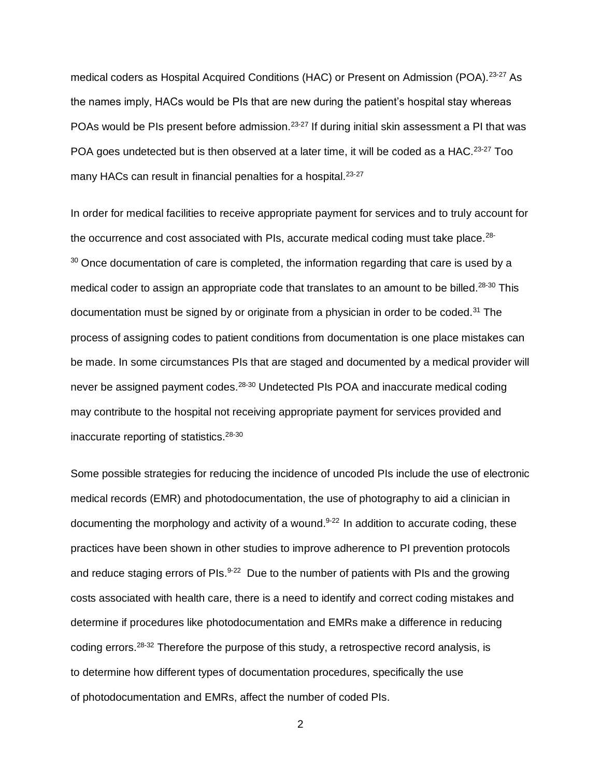medical coders as Hospital Acquired Conditions (HAC) or Present on Admission (POA).<sup>23-27</sup> As the names imply, HACs would be PIs that are new during the patient's hospital stay whereas POAs would be PIs present before admission.<sup>23-27</sup> If during initial skin assessment a PI that was POA goes undetected but is then observed at a later time, it will be coded as a HAC.<sup>23-27</sup> Too many HACs can result in financial penalties for a hospital.<sup>23-27</sup>

In order for medical facilities to receive appropriate payment for services and to truly account for the occurrence and cost associated with PIs, accurate medical coding must take place.<sup>28-</sup>  $30$  Once documentation of care is completed, the information regarding that care is used by a medical coder to assign an appropriate code that translates to an amount to be billed.<sup>28-30</sup> This documentation must be signed by or originate from a physician in order to be coded.<sup>31</sup> The process of assigning codes to patient conditions from documentation is one place mistakes can be made. In some circumstances PIs that are staged and documented by a medical provider will never be assigned payment codes.<sup>28-30</sup> Undetected PIs POA and inaccurate medical coding may contribute to the hospital not receiving appropriate payment for services provided and inaccurate reporting of statistics.28-30

Some possible strategies for reducing the incidence of uncoded PIs include the use of electronic medical records (EMR) and photodocumentation, the use of photography to aid a clinician in documenting the morphology and activity of a wound. $9-22$  In addition to accurate coding, these practices have been shown in other studies to improve adherence to PI prevention protocols and reduce staging errors of PIs. $9-22$  Due to the number of patients with PIs and the growing costs associated with health care, there is a need to identify and correct coding mistakes and determine if procedures like photodocumentation and EMRs make a difference in reducing coding errors.<sup>28-32</sup> Therefore the purpose of this study, a retrospective record analysis, is to determine how different types of documentation procedures, specifically the use of photodocumentation and EMRs, affect the number of coded PIs.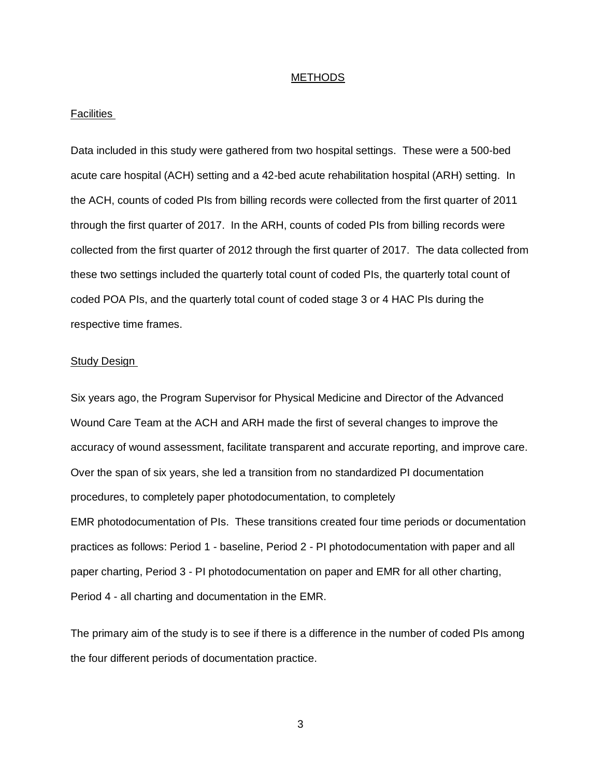#### METHODS

#### Facilities

Data included in this study were gathered from two hospital settings. These were a 500-bed acute care hospital (ACH) setting and a 42-bed acute rehabilitation hospital (ARH) setting. In the ACH, counts of coded PIs from billing records were collected from the first quarter of 2011 through the first quarter of 2017. In the ARH, counts of coded PIs from billing records were collected from the first quarter of 2012 through the first quarter of 2017. The data collected from these two settings included the quarterly total count of coded PIs, the quarterly total count of coded POA PIs, and the quarterly total count of coded stage 3 or 4 HAC PIs during the respective time frames.

#### Study Design

Six years ago, the Program Supervisor for Physical Medicine and Director of the Advanced Wound Care Team at the ACH and ARH made the first of several changes to improve the accuracy of wound assessment, facilitate transparent and accurate reporting, and improve care. Over the span of six years, she led a transition from no standardized PI documentation procedures, to completely paper photodocumentation, to completely EMR photodocumentation of PIs. These transitions created four time periods or documentation practices as follows: Period 1 - baseline, Period 2 - PI photodocumentation with paper and all paper charting, Period 3 - PI photodocumentation on paper and EMR for all other charting, Period 4 - all charting and documentation in the EMR.

The primary aim of the study is to see if there is a difference in the number of coded PIs among the four different periods of documentation practice.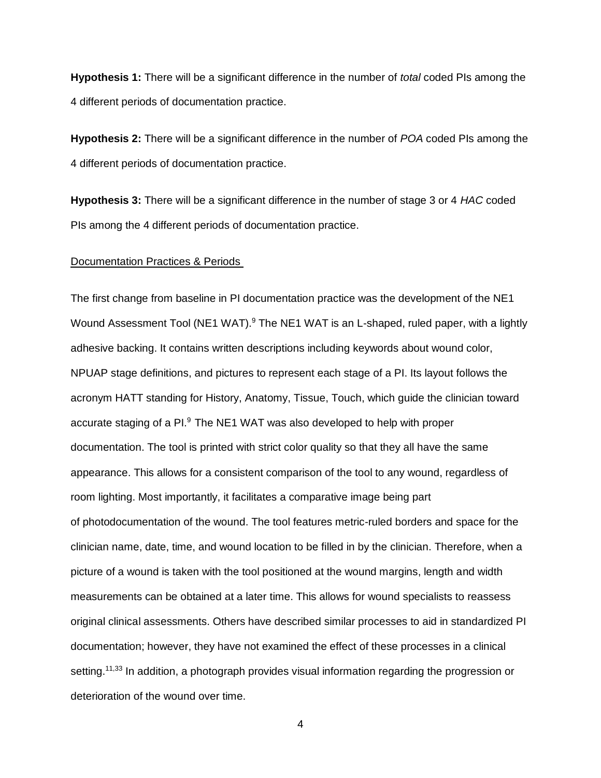**Hypothesis 1:** There will be a significant difference in the number of *total* coded PIs among the 4 different periods of documentation practice.

**Hypothesis 2:** There will be a significant difference in the number of *POA* coded PIs among the 4 different periods of documentation practice.

**Hypothesis 3:** There will be a significant difference in the number of stage 3 or 4 *HAC* coded PIs among the 4 different periods of documentation practice.

#### Documentation Practices & Periods

The first change from baseline in PI documentation practice was the development of the NE1 Wound Assessment Tool (NE1 WAT).<sup>9</sup> The NE1 WAT is an L-shaped, ruled paper, with a lightly adhesive backing. It contains written descriptions including keywords about wound color, NPUAP stage definitions, and pictures to represent each stage of a PI. Its layout follows the acronym HATT standing for History, Anatomy, Tissue, Touch, which guide the clinician toward accurate staging of a PI.<sup>9</sup> The NE1 WAT was also developed to help with proper documentation. The tool is printed with strict color quality so that they all have the same appearance. This allows for a consistent comparison of the tool to any wound, regardless of room lighting. Most importantly, it facilitates a comparative image being part of photodocumentation of the wound. The tool features metric-ruled borders and space for the clinician name, date, time, and wound location to be filled in by the clinician. Therefore, when a picture of a wound is taken with the tool positioned at the wound margins, length and width measurements can be obtained at a later time. This allows for wound specialists to reassess original clinical assessments. Others have described similar processes to aid in standardized PI documentation; however, they have not examined the effect of these processes in a clinical setting.<sup>11,33</sup> In addition, a photograph provides visual information regarding the progression or deterioration of the wound over time.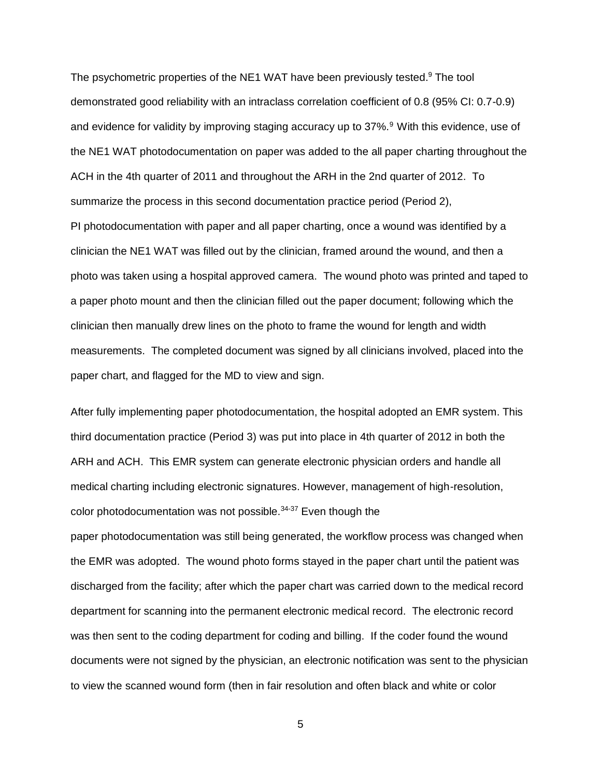The psychometric properties of the NE1 WAT have been previously tested.<sup>9</sup> The tool demonstrated good reliability with an intraclass correlation coefficient of 0.8 (95% CI: 0.7-0.9) and evidence for validity by improving staging accuracy up to 37%.<sup>9</sup> With this evidence, use of the NE1 WAT photodocumentation on paper was added to the all paper charting throughout the ACH in the 4th quarter of 2011 and throughout the ARH in the 2nd quarter of 2012. To summarize the process in this second documentation practice period (Period 2), PI photodocumentation with paper and all paper charting, once a wound was identified by a clinician the NE1 WAT was filled out by the clinician, framed around the wound, and then a photo was taken using a hospital approved camera. The wound photo was printed and taped to a paper photo mount and then the clinician filled out the paper document; following which the clinician then manually drew lines on the photo to frame the wound for length and width measurements. The completed document was signed by all clinicians involved, placed into the paper chart, and flagged for the MD to view and sign.

After fully implementing paper photodocumentation, the hospital adopted an EMR system. This third documentation practice (Period 3) was put into place in 4th quarter of 2012 in both the ARH and ACH. This EMR system can generate electronic physician orders and handle all medical charting including electronic signatures. However, management of high-resolution, color photodocumentation was not possible.<sup>34-37</sup> Even though the paper photodocumentation was still being generated, the workflow process was changed when the EMR was adopted. The wound photo forms stayed in the paper chart until the patient was discharged from the facility; after which the paper chart was carried down to the medical record department for scanning into the permanent electronic medical record. The electronic record was then sent to the coding department for coding and billing. If the coder found the wound documents were not signed by the physician, an electronic notification was sent to the physician to view the scanned wound form (then in fair resolution and often black and white or color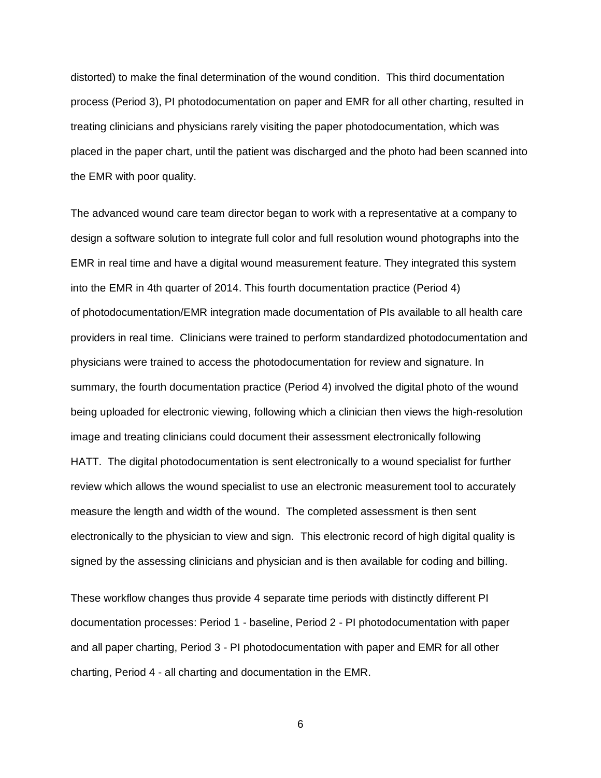distorted) to make the final determination of the wound condition. This third documentation process (Period 3), PI photodocumentation on paper and EMR for all other charting, resulted in treating clinicians and physicians rarely visiting the paper photodocumentation, which was placed in the paper chart, until the patient was discharged and the photo had been scanned into the EMR with poor quality.

The advanced wound care team director began to work with a representative at a company to design a software solution to integrate full color and full resolution wound photographs into the EMR in real time and have a digital wound measurement feature. They integrated this system into the EMR in 4th quarter of 2014. This fourth documentation practice (Period 4) of photodocumentation/EMR integration made documentation of PIs available to all health care providers in real time. Clinicians were trained to perform standardized photodocumentation and physicians were trained to access the photodocumentation for review and signature. In summary, the fourth documentation practice (Period 4) involved the digital photo of the wound being uploaded for electronic viewing, following which a clinician then views the high-resolution image and treating clinicians could document their assessment electronically following HATT. The digital photodocumentation is sent electronically to a wound specialist for further review which allows the wound specialist to use an electronic measurement tool to accurately measure the length and width of the wound. The completed assessment is then sent electronically to the physician to view and sign. This electronic record of high digital quality is signed by the assessing clinicians and physician and is then available for coding and billing.

These workflow changes thus provide 4 separate time periods with distinctly different PI documentation processes: Period 1 - baseline, Period 2 - PI photodocumentation with paper and all paper charting, Period 3 - PI photodocumentation with paper and EMR for all other charting, Period 4 - all charting and documentation in the EMR.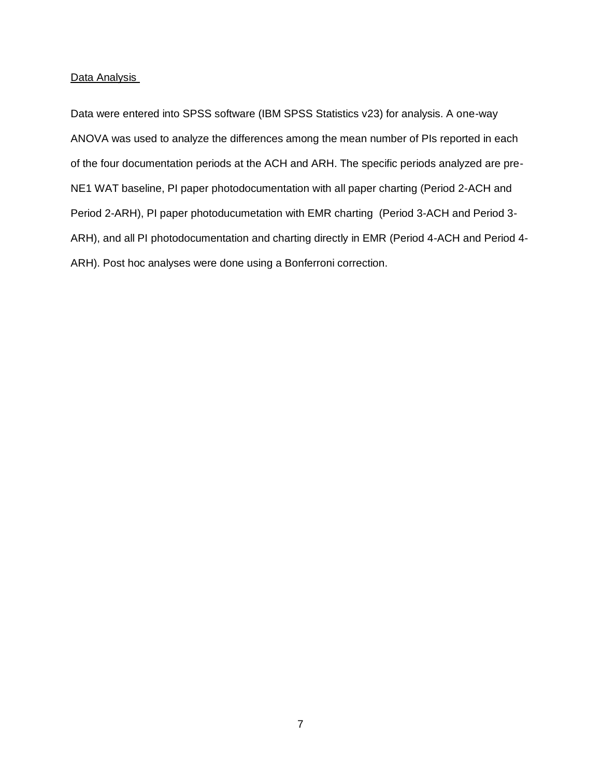#### Data Analysis

Data were entered into SPSS software (IBM SPSS Statistics v23) for analysis. A one-way ANOVA was used to analyze the differences among the mean number of PIs reported in each of the four documentation periods at the ACH and ARH. The specific periods analyzed are pre-NE1 WAT baseline, PI paper photodocumentation with all paper charting (Period 2-ACH and Period 2-ARH), PI paper photoducumetation with EMR charting (Period 3-ACH and Period 3- ARH), and all PI photodocumentation and charting directly in EMR (Period 4-ACH and Period 4- ARH). Post hoc analyses were done using a Bonferroni correction.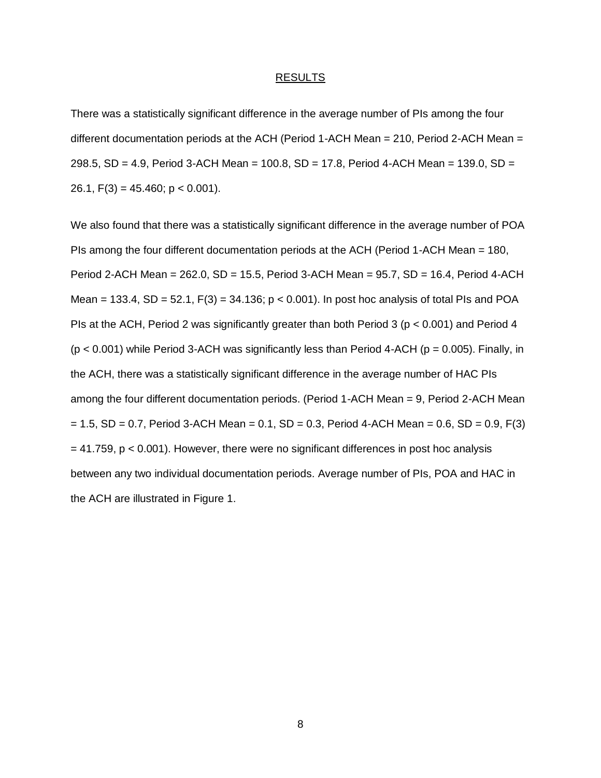#### RESULTS

There was a statistically significant difference in the average number of PIs among the four different documentation periods at the ACH (Period 1-ACH Mean = 210, Period 2-ACH Mean = 298.5, SD = 4.9, Period 3-ACH Mean = 100.8, SD = 17.8, Period 4-ACH Mean = 139.0, SD = 26.1,  $F(3) = 45.460$ ;  $p < 0.001$ ).

We also found that there was a statistically significant difference in the average number of POA PIs among the four different documentation periods at the ACH (Period 1-ACH Mean = 180, Period 2-ACH Mean = 262.0, SD = 15.5, Period 3-ACH Mean = 95.7, SD = 16.4, Period 4-ACH Mean = 133.4, SD = 52.1, F(3) = 34.136;  $p < 0.001$ ). In post hoc analysis of total PIs and POA PIs at the ACH, Period 2 was significantly greater than both Period 3 (p < 0.001) and Period 4  $(p < 0.001)$  while Period 3-ACH was significantly less than Period 4-ACH ( $p = 0.005$ ). Finally, in the ACH, there was a statistically significant difference in the average number of HAC PIs among the four different documentation periods. (Period 1-ACH Mean = 9, Period 2-ACH Mean  $= 1.5$ , SD = 0.7, Period 3-ACH Mean = 0.1, SD = 0.3, Period 4-ACH Mean = 0.6, SD = 0.9, F(3)  $= 41.759$ ,  $p < 0.001$ ). However, there were no significant differences in post hoc analysis between any two individual documentation periods. Average number of PIs, POA and HAC in the ACH are illustrated in Figure 1.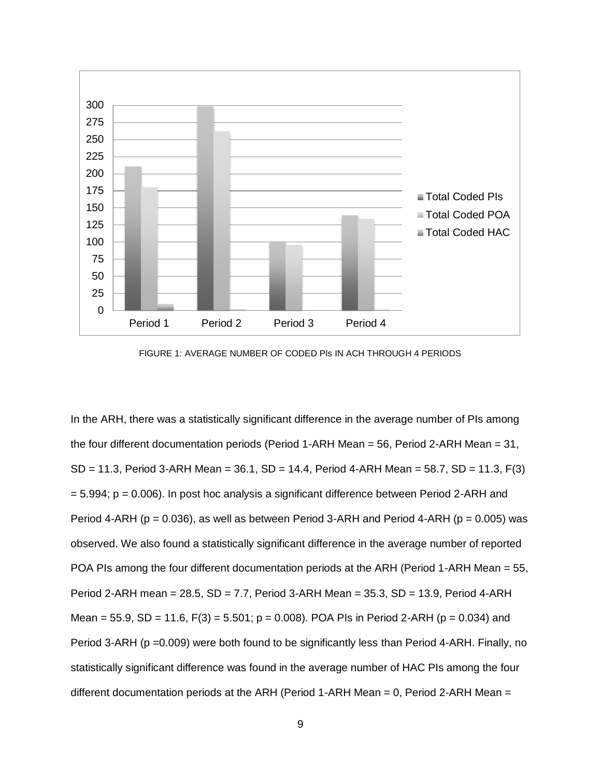

FIGURE 1: AVERAGE NUMBER OF CODED PIs IN ACH THROUGH 4 PERIODS

In the ARH, there was a statistically significant difference in the average number of PIs among the four different documentation periods (Period 1-ARH Mean = 56, Period 2-ARH Mean = 31, SD = 11.3, Period 3-ARH Mean = 36.1, SD = 14.4, Period 4-ARH Mean = 58.7, SD = 11.3, F(3)  $= 5.994$ ;  $p = 0.006$ ). In post hoc analysis a significant difference between Period 2-ARH and Period 4-ARH ( $p = 0.036$ ), as well as between Period 3-ARH and Period 4-ARH ( $p = 0.005$ ) was observed. We also found a statistically significant difference in the average number of reported POA PIs among the four different documentation periods at the ARH (Period 1-ARH Mean = 55, Period 2-ARH mean = 28.5, SD = 7.7, Period 3-ARH Mean = 35.3, SD = 13.9, Period 4-ARH Mean = 55.9, SD = 11.6, F(3) = 5.501; p = 0.008). POA PIs in Period 2-ARH (p = 0.034) and Period 3-ARH (p = 0.009) were both found to be significantly less than Period 4-ARH. Finally, no statistically significant difference was found in the average number of HAC PIs among the four different documentation periods at the ARH (Period 1-ARH Mean =  $0$ , Period 2-ARH Mean =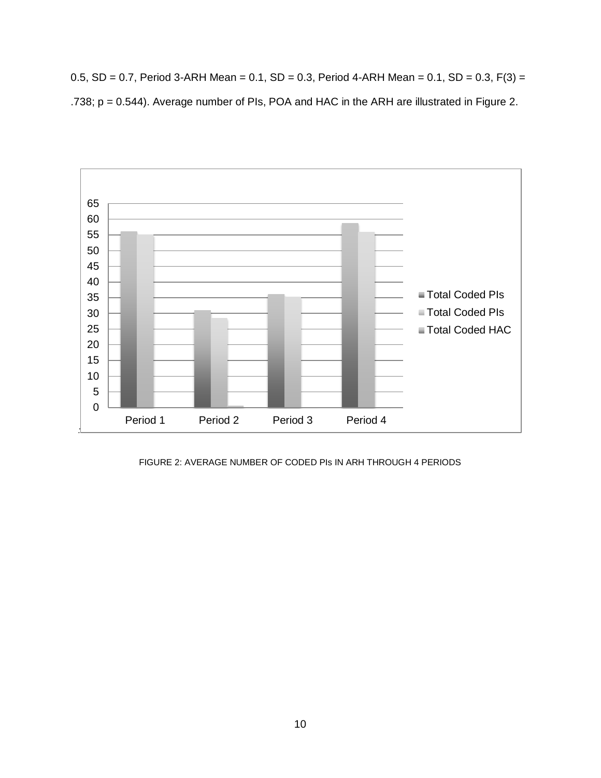0.5, SD = 0.7, Period 3-ARH Mean = 0.1, SD = 0.3, Period 4-ARH Mean = 0.1, SD = 0.3, F(3) = .738; p = 0.544). Average number of PIs, POA and HAC in the ARH are illustrated in Figure 2.



FIGURE 2: AVERAGE NUMBER OF CODED PIs IN ARH THROUGH 4 PERIODS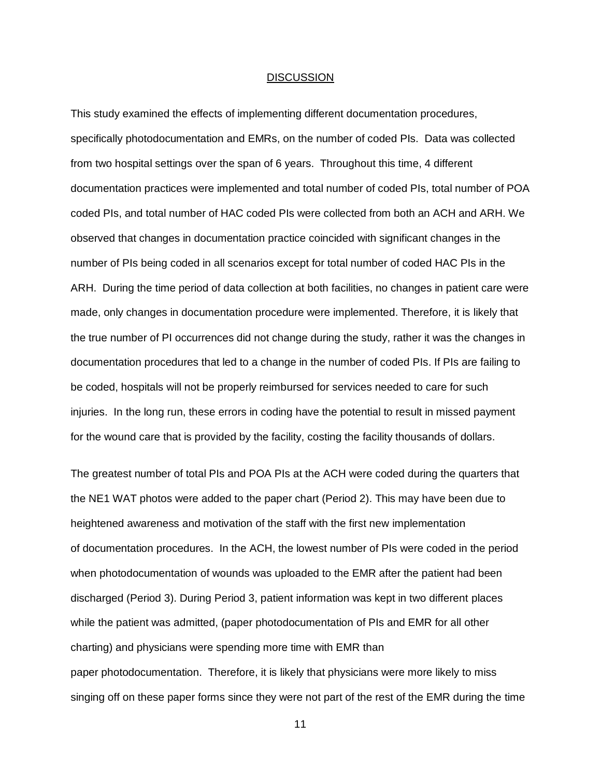#### **DISCUSSION**

This study examined the effects of implementing different documentation procedures, specifically photodocumentation and EMRs, on the number of coded PIs. Data was collected from two hospital settings over the span of 6 years. Throughout this time, 4 different documentation practices were implemented and total number of coded PIs, total number of POA coded PIs, and total number of HAC coded PIs were collected from both an ACH and ARH. We observed that changes in documentation practice coincided with significant changes in the number of PIs being coded in all scenarios except for total number of coded HAC PIs in the ARH. During the time period of data collection at both facilities, no changes in patient care were made, only changes in documentation procedure were implemented. Therefore, it is likely that the true number of PI occurrences did not change during the study, rather it was the changes in documentation procedures that led to a change in the number of coded PIs. If PIs are failing to be coded, hospitals will not be properly reimbursed for services needed to care for such injuries. In the long run, these errors in coding have the potential to result in missed payment for the wound care that is provided by the facility, costing the facility thousands of dollars.

The greatest number of total PIs and POA PIs at the ACH were coded during the quarters that the NE1 WAT photos were added to the paper chart (Period 2). This may have been due to heightened awareness and motivation of the staff with the first new implementation of documentation procedures. In the ACH, the lowest number of PIs were coded in the period when photodocumentation of wounds was uploaded to the EMR after the patient had been discharged (Period 3). During Period 3, patient information was kept in two different places while the patient was admitted, (paper photodocumentation of PIs and EMR for all other charting) and physicians were spending more time with EMR than paper photodocumentation. Therefore, it is likely that physicians were more likely to miss singing off on these paper forms since they were not part of the rest of the EMR during the time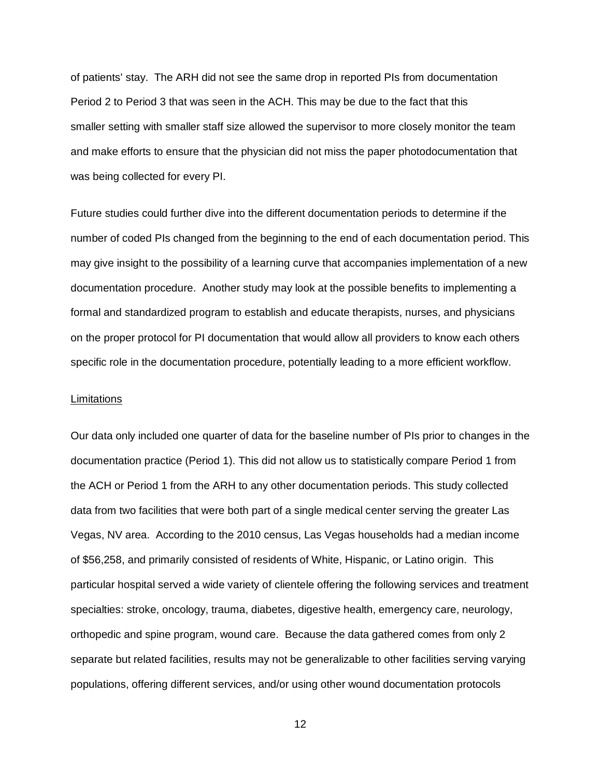of patients' stay. The ARH did not see the same drop in reported PIs from documentation Period 2 to Period 3 that was seen in the ACH. This may be due to the fact that this smaller setting with smaller staff size allowed the supervisor to more closely monitor the team and make efforts to ensure that the physician did not miss the paper photodocumentation that was being collected for every PI.

Future studies could further dive into the different documentation periods to determine if the number of coded PIs changed from the beginning to the end of each documentation period. This may give insight to the possibility of a learning curve that accompanies implementation of a new documentation procedure. Another study may look at the possible benefits to implementing a formal and standardized program to establish and educate therapists, nurses, and physicians on the proper protocol for PI documentation that would allow all providers to know each others specific role in the documentation procedure, potentially leading to a more efficient workflow.

#### **Limitations**

Our data only included one quarter of data for the baseline number of PIs prior to changes in the documentation practice (Period 1). This did not allow us to statistically compare Period 1 from the ACH or Period 1 from the ARH to any other documentation periods. This study collected data from two facilities that were both part of a single medical center serving the greater Las Vegas, NV area. According to the 2010 census, Las Vegas households had a median income of \$56,258, and primarily consisted of residents of White, Hispanic, or Latino origin. This particular hospital served a wide variety of clientele offering the following services and treatment specialties: stroke, oncology, trauma, diabetes, digestive health, emergency care, neurology, orthopedic and spine program, wound care. Because the data gathered comes from only 2 separate but related facilities, results may not be generalizable to other facilities serving varying populations, offering different services, and/or using other wound documentation protocols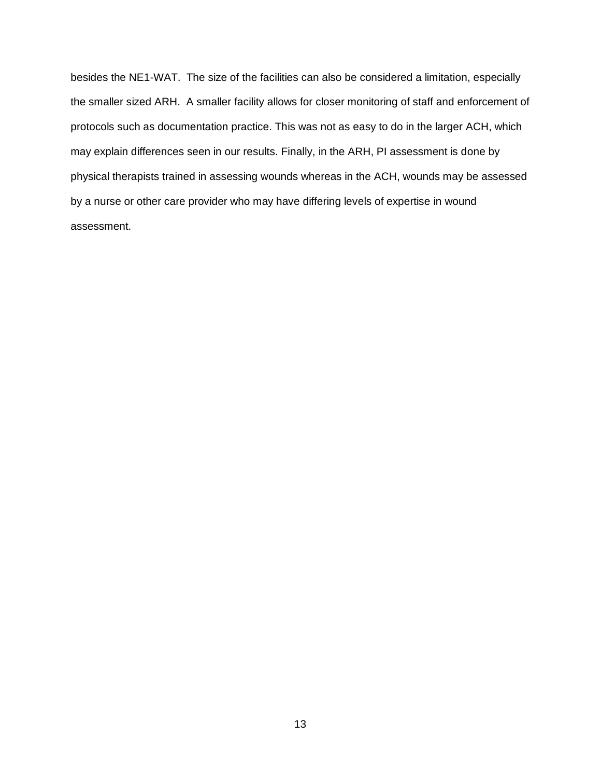besides the NE1-WAT. The size of the facilities can also be considered a limitation, especially the smaller sized ARH. A smaller facility allows for closer monitoring of staff and enforcement of protocols such as documentation practice. This was not as easy to do in the larger ACH, which may explain differences seen in our results. Finally, in the ARH, PI assessment is done by physical therapists trained in assessing wounds whereas in the ACH, wounds may be assessed by a nurse or other care provider who may have differing levels of expertise in wound assessment.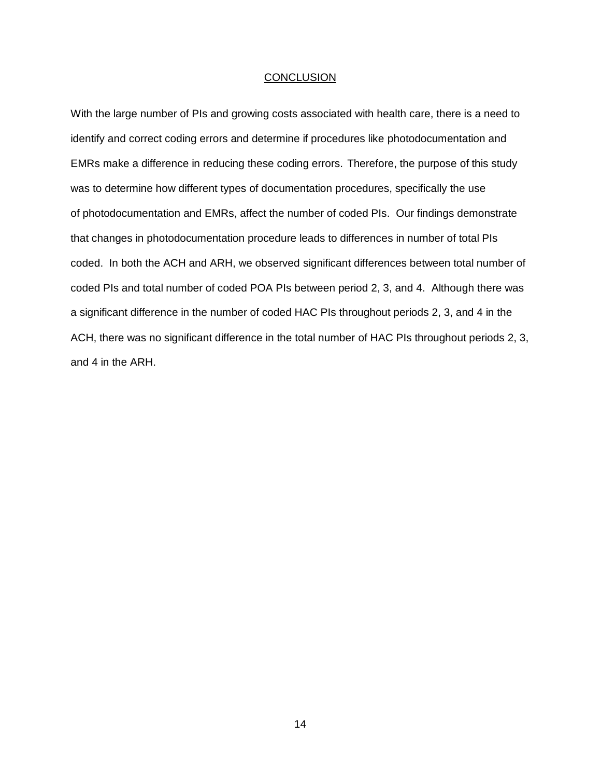#### **CONCLUSION**

With the large number of PIs and growing costs associated with health care, there is a need to identify and correct coding errors and determine if procedures like photodocumentation and EMRs make a difference in reducing these coding errors. Therefore, the purpose of this study was to determine how different types of documentation procedures, specifically the use of photodocumentation and EMRs, affect the number of coded PIs. Our findings demonstrate that changes in photodocumentation procedure leads to differences in number of total PIs coded. In both the ACH and ARH, we observed significant differences between total number of coded PIs and total number of coded POA PIs between period 2, 3, and 4. Although there was a significant difference in the number of coded HAC PIs throughout periods 2, 3, and 4 in the ACH, there was no significant difference in the total number of HAC PIs throughout periods 2, 3, and 4 in the ARH.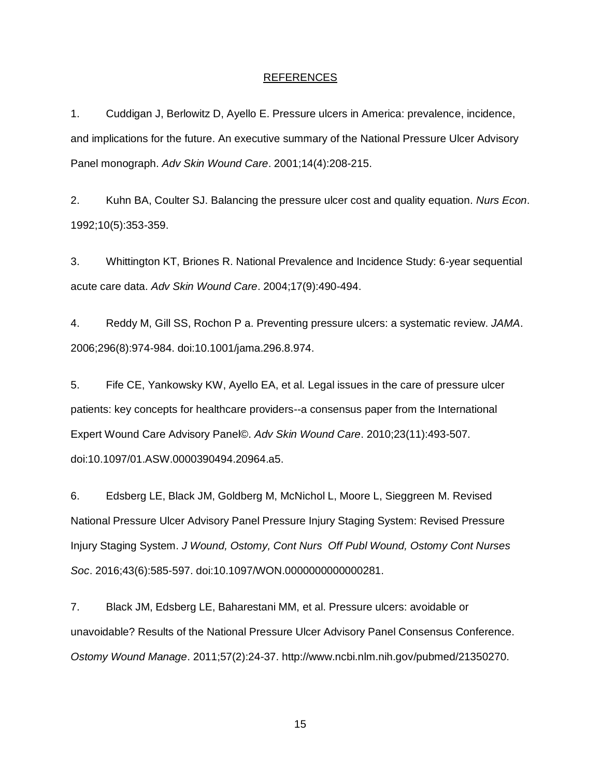#### REFERENCES

1. Cuddigan J, Berlowitz D, Ayello E. Pressure ulcers in America: prevalence, incidence, and implications for the future. An executive summary of the National Pressure Ulcer Advisory Panel monograph. *Adv Skin Wound Care*. 2001;14(4):208-215.

2. Kuhn BA, Coulter SJ. Balancing the pressure ulcer cost and quality equation. *Nurs Econ*. 1992;10(5):353-359.

3. Whittington KT, Briones R. National Prevalence and Incidence Study: 6-year sequential acute care data. *Adv Skin Wound Care*. 2004;17(9):490-494.

4. Reddy M, Gill SS, Rochon P a. Preventing pressure ulcers: a systematic review. *JAMA*. 2006;296(8):974-984. doi:10.1001/jama.296.8.974.

5. Fife CE, Yankowsky KW, Ayello EA, et al. Legal issues in the care of pressure ulcer patients: key concepts for healthcare providers--a consensus paper from the International Expert Wound Care Advisory Panel©. *Adv Skin Wound Care*. 2010;23(11):493-507. doi:10.1097/01.ASW.0000390494.20964.a5.

6. Edsberg LE, Black JM, Goldberg M, McNichol L, Moore L, Sieggreen M. Revised National Pressure Ulcer Advisory Panel Pressure Injury Staging System: Revised Pressure Injury Staging System. *J Wound, Ostomy, Cont Nurs Off Publ Wound, Ostomy Cont Nurses Soc*. 2016;43(6):585-597. doi:10.1097/WON.0000000000000281.

7. Black JM, Edsberg LE, Baharestani MM, et al. Pressure ulcers: avoidable or unavoidable? Results of the National Pressure Ulcer Advisory Panel Consensus Conference. *Ostomy Wound Manage*. 2011;57(2):24-37. http://www.ncbi.nlm.nih.gov/pubmed/21350270.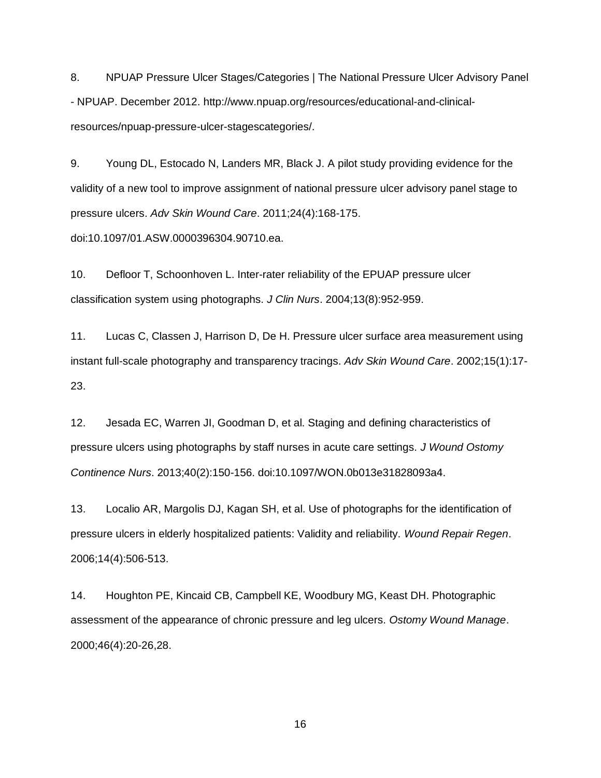8. NPUAP Pressure Ulcer Stages/Categories | The National Pressure Ulcer Advisory Panel - NPUAP. December 2012. http://www.npuap.org/resources/educational-and-clinicalresources/npuap-pressure-ulcer-stagescategories/.

9. Young DL, Estocado N, Landers MR, Black J. A pilot study providing evidence for the validity of a new tool to improve assignment of national pressure ulcer advisory panel stage to pressure ulcers. *Adv Skin Wound Care*. 2011;24(4):168-175.

doi:10.1097/01.ASW.0000396304.90710.ea.

10. Defloor T, Schoonhoven L. Inter-rater reliability of the EPUAP pressure ulcer classification system using photographs. *J Clin Nurs*. 2004;13(8):952-959.

11. Lucas C, Classen J, Harrison D, De H. Pressure ulcer surface area measurement using instant full-scale photography and transparency tracings. *Adv Skin Wound Care*. 2002;15(1):17- 23.

12. Jesada EC, Warren JI, Goodman D, et al. Staging and defining characteristics of pressure ulcers using photographs by staff nurses in acute care settings. *J Wound Ostomy Continence Nurs*. 2013;40(2):150-156. doi:10.1097/WON.0b013e31828093a4.

13. Localio AR, Margolis DJ, Kagan SH, et al. Use of photographs for the identification of pressure ulcers in elderly hospitalized patients: Validity and reliability. *Wound Repair Regen*. 2006;14(4):506-513.

14. Houghton PE, Kincaid CB, Campbell KE, Woodbury MG, Keast DH. Photographic assessment of the appearance of chronic pressure and leg ulcers. *Ostomy Wound Manage*. 2000;46(4):20-26,28.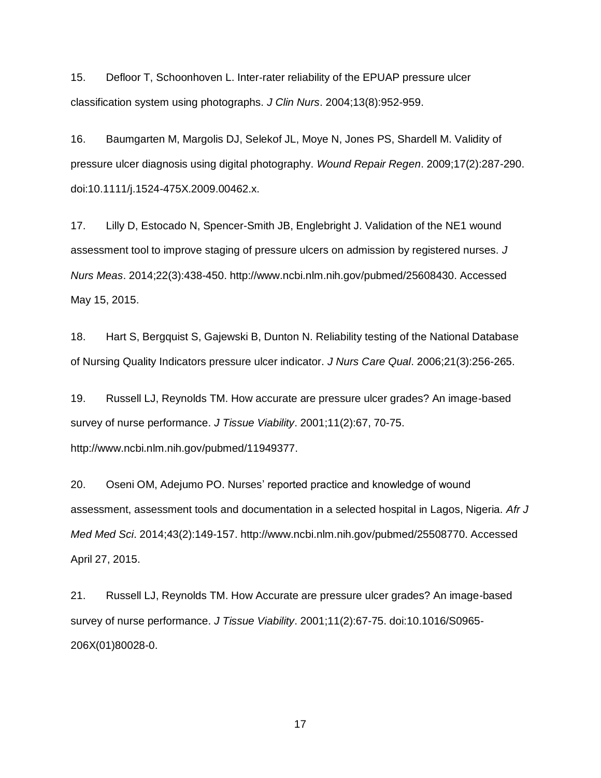15. Defloor T, Schoonhoven L. Inter-rater reliability of the EPUAP pressure ulcer classification system using photographs. *J Clin Nurs*. 2004;13(8):952-959.

16. Baumgarten M, Margolis DJ, Selekof JL, Moye N, Jones PS, Shardell M. Validity of pressure ulcer diagnosis using digital photography. *Wound Repair Regen*. 2009;17(2):287-290. doi:10.1111/j.1524-475X.2009.00462.x.

17. Lilly D, Estocado N, Spencer-Smith JB, Englebright J. Validation of the NE1 wound assessment tool to improve staging of pressure ulcers on admission by registered nurses. *J Nurs Meas*. 2014;22(3):438-450. http://www.ncbi.nlm.nih.gov/pubmed/25608430. Accessed May 15, 2015.

18. Hart S, Bergquist S, Gajewski B, Dunton N. Reliability testing of the National Database of Nursing Quality Indicators pressure ulcer indicator. *J Nurs Care Qual*. 2006;21(3):256-265.

19. Russell LJ, Reynolds TM. How accurate are pressure ulcer grades? An image-based survey of nurse performance. *J Tissue Viability*. 2001;11(2):67, 70-75. http://www.ncbi.nlm.nih.gov/pubmed/11949377.

20. Oseni OM, Adejumo PO. Nurses' reported practice and knowledge of wound assessment, assessment tools and documentation in a selected hospital in Lagos, Nigeria. *Afr J Med Med Sci*. 2014;43(2):149-157. http://www.ncbi.nlm.nih.gov/pubmed/25508770. Accessed April 27, 2015.

21. Russell LJ, Reynolds TM. How Accurate are pressure ulcer grades? An image-based survey of nurse performance. *J Tissue Viability*. 2001;11(2):67-75. doi:10.1016/S0965- 206X(01)80028-0.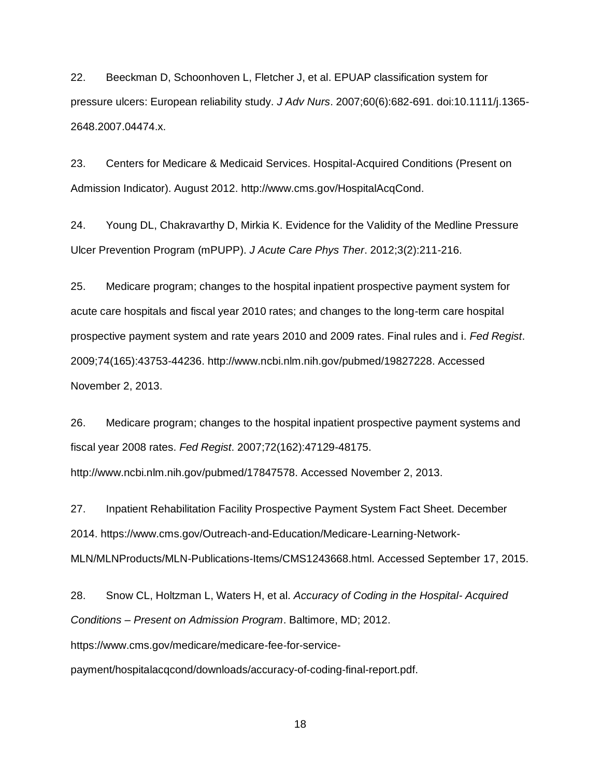22. Beeckman D, Schoonhoven L, Fletcher J, et al. EPUAP classification system for pressure ulcers: European reliability study. *J Adv Nurs*. 2007;60(6):682-691. doi:10.1111/j.1365- 2648.2007.04474.x.

23. Centers for Medicare & Medicaid Services. Hospital-Acquired Conditions (Present on Admission Indicator). August 2012. http://www.cms.gov/HospitalAcqCond.

24. Young DL, Chakravarthy D, Mirkia K. Evidence for the Validity of the Medline Pressure Ulcer Prevention Program (mPUPP). *J Acute Care Phys Ther*. 2012;3(2):211-216.

25. Medicare program; changes to the hospital inpatient prospective payment system for acute care hospitals and fiscal year 2010 rates; and changes to the long-term care hospital prospective payment system and rate years 2010 and 2009 rates. Final rules and i. *Fed Regist*. 2009;74(165):43753-44236. http://www.ncbi.nlm.nih.gov/pubmed/19827228. Accessed November 2, 2013.

26. Medicare program; changes to the hospital inpatient prospective payment systems and fiscal year 2008 rates. *Fed Regist*. 2007;72(162):47129-48175.

http://www.ncbi.nlm.nih.gov/pubmed/17847578. Accessed November 2, 2013.

27. Inpatient Rehabilitation Facility Prospective Payment System Fact Sheet. December 2014. https://www.cms.gov/Outreach-and-Education/Medicare-Learning-Network-MLN/MLNProducts/MLN-Publications-Items/CMS1243668.html. Accessed September 17, 2015.

28. Snow CL, Holtzman L, Waters H, et al. *Accuracy of Coding in the Hospital- Acquired Conditions – Present on Admission Program*. Baltimore, MD; 2012.

https://www.cms.gov/medicare/medicare-fee-for-service-

payment/hospitalacqcond/downloads/accuracy-of-coding-final-report.pdf.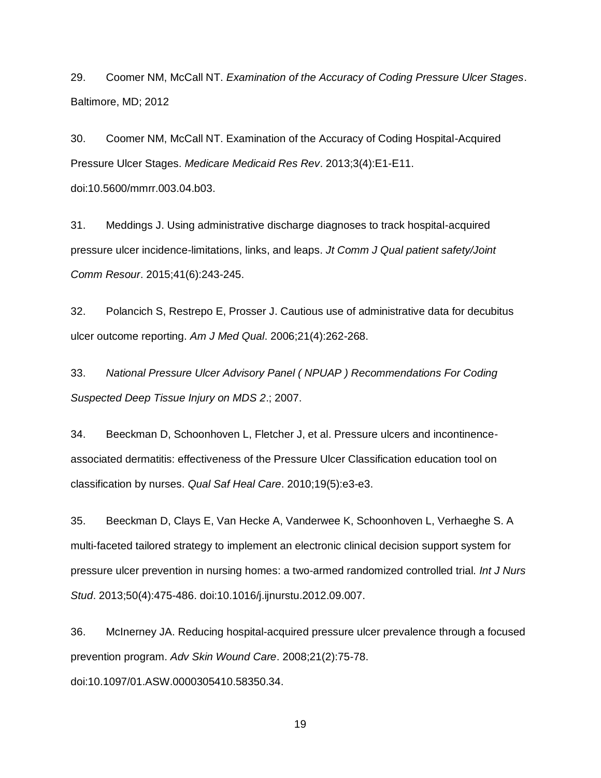29. Coomer NM, McCall NT. *Examination of the Accuracy of Coding Pressure Ulcer Stages*. Baltimore, MD; 2012

30. Coomer NM, McCall NT. Examination of the Accuracy of Coding Hospital-Acquired Pressure Ulcer Stages. *Medicare Medicaid Res Rev*. 2013;3(4):E1-E11. doi:10.5600/mmrr.003.04.b03.

31. Meddings J. Using administrative discharge diagnoses to track hospital-acquired pressure ulcer incidence-limitations, links, and leaps. *Jt Comm J Qual patient safety/Joint Comm Resour*. 2015;41(6):243-245.

32. Polancich S, Restrepo E, Prosser J. Cautious use of administrative data for decubitus ulcer outcome reporting. *Am J Med Qual*. 2006;21(4):262-268.

33. *National Pressure Ulcer Advisory Panel ( NPUAP ) Recommendations For Coding Suspected Deep Tissue Injury on MDS 2*.; 2007.

34. Beeckman D, Schoonhoven L, Fletcher J, et al. Pressure ulcers and incontinenceassociated dermatitis: effectiveness of the Pressure Ulcer Classification education tool on classification by nurses. *Qual Saf Heal Care*. 2010;19(5):e3-e3.

35. Beeckman D, Clays E, Van Hecke A, Vanderwee K, Schoonhoven L, Verhaeghe S. A multi-faceted tailored strategy to implement an electronic clinical decision support system for pressure ulcer prevention in nursing homes: a two-armed randomized controlled trial. *Int J Nurs Stud*. 2013;50(4):475-486. doi:10.1016/j.ijnurstu.2012.09.007.

36. McInerney JA. Reducing hospital-acquired pressure ulcer prevalence through a focused prevention program. *Adv Skin Wound Care*. 2008;21(2):75-78. doi:10.1097/01.ASW.0000305410.58350.34.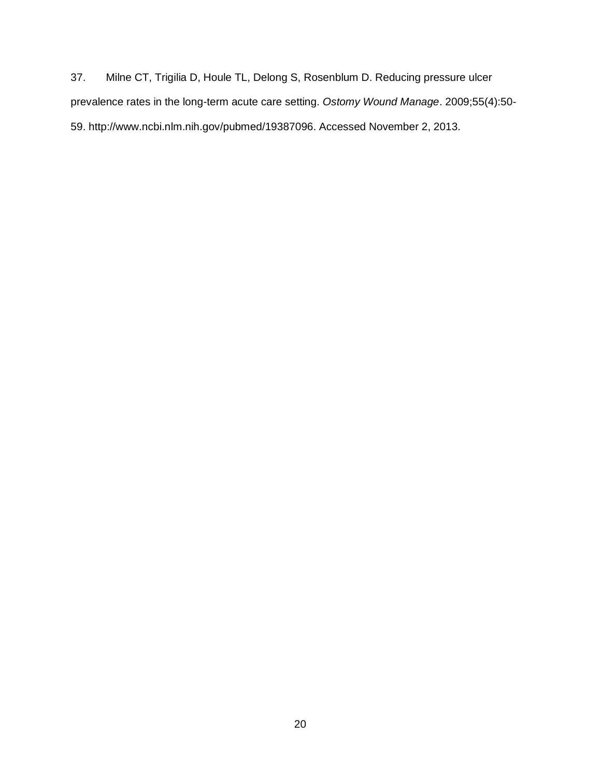37. Milne CT, Trigilia D, Houle TL, Delong S, Rosenblum D. Reducing pressure ulcer prevalence rates in the long-term acute care setting. *Ostomy Wound Manage*. 2009;55(4):50- 59. http://www.ncbi.nlm.nih.gov/pubmed/19387096. Accessed November 2, 2013.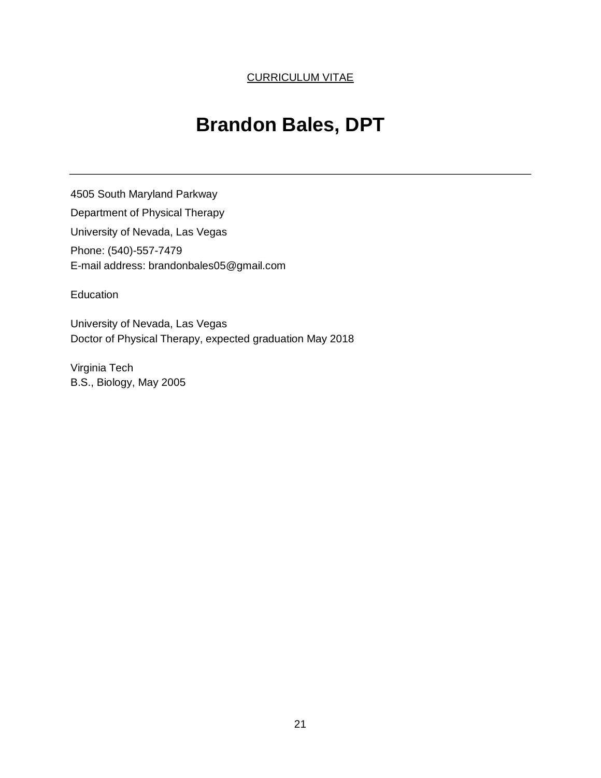# **Brandon Bales, DPT**

4505 South Maryland Parkway Department of Physical Therapy University of Nevada, Las Vegas Phone: (540)-557-7479 E-mail address: brandonbales05@gmail.com

Education

University of Nevada, Las Vegas Doctor of Physical Therapy, expected graduation May 2018

Virginia Tech B.S., Biology, May 2005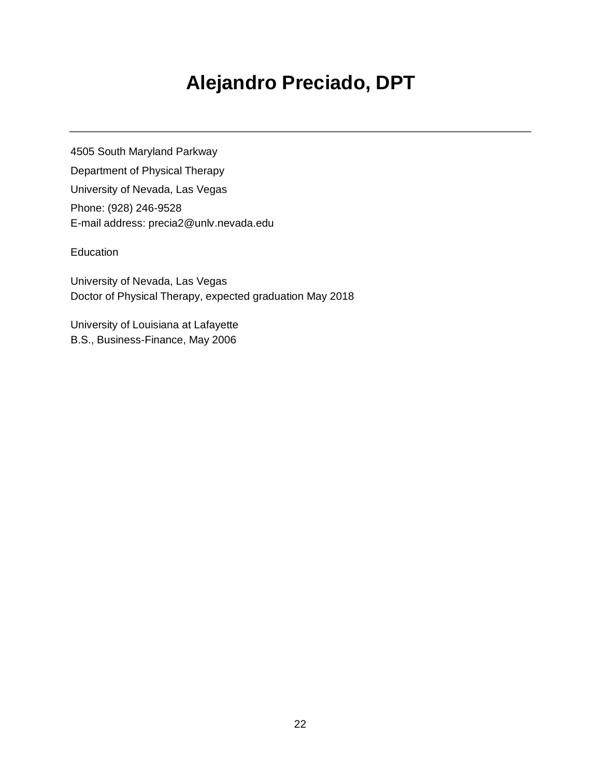# **Alejandro Preciado, DPT**

4505 South Maryland Parkway Department of Physical Therapy University of Nevada, Las Vegas Phone: (928) 246-9528 E-mail address: precia2@unlv.nevada.edu

## **Education**

University of Nevada, Las Vegas Doctor of Physical Therapy, expected graduation May 2018

University of Louisiana at Lafayette B.S., Business-Finance, May 2006